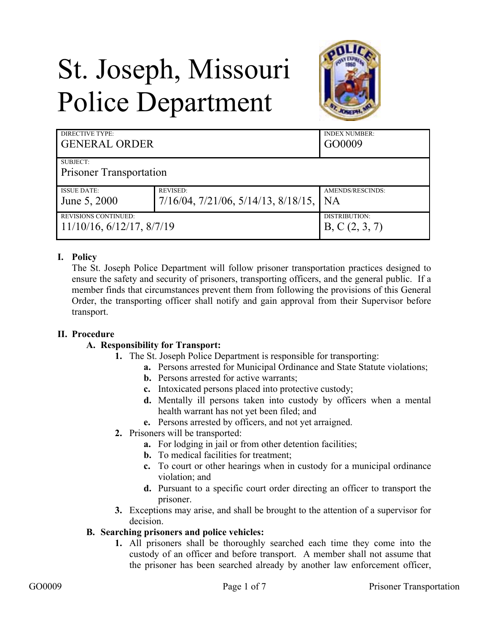# St. Joseph, Missouri Police Department



| DIRECTIVE TYPE:<br><b>GENERAL ORDER</b> |                                                    | <b>INDEX NUMBER:</b><br>GO0009 |
|-----------------------------------------|----------------------------------------------------|--------------------------------|
| SUBJECT:                                |                                                    |                                |
| <b>Prisoner Transportation</b>          |                                                    |                                |
| <b>ISSUE DATE:</b>                      | <b>REVISED:</b>                                    | AMENDS/RESCINDS:               |
| June 5, 2000                            | $7/16/04$ , $7/21/06$ , $5/14/13$ , $8/18/15$ , NA |                                |
| <b>REVISIONS CONTINUED:</b>             |                                                    | DISTRIBUTION:                  |
| $11/10/16$ , $6/12/17$ , $8/7/19$       |                                                    | B, C(2, 3, 7)                  |

# **I. Policy**

The St. Joseph Police Department will follow prisoner transportation practices designed to ensure the safety and security of prisoners, transporting officers, and the general public. If a member finds that circumstances prevent them from following the provisions of this General Order, the transporting officer shall notify and gain approval from their Supervisor before transport.

## **II. Procedure**

## **A. Responsibility for Transport:**

- **1.** The St. Joseph Police Department is responsible for transporting:
	- **a.** Persons arrested for Municipal Ordinance and State Statute violations;
	- **b.** Persons arrested for active warrants;
	- **c.** Intoxicated persons placed into protective custody;
	- **d.** Mentally ill persons taken into custody by officers when a mental health warrant has not yet been filed; and
	- **e.** Persons arrested by officers, and not yet arraigned.
- **2.** Prisoners will be transported:
	- **a.** For lodging in jail or from other detention facilities;
	- **b.** To medical facilities for treatment;
	- **c.** To court or other hearings when in custody for a municipal ordinance violation; and
	- **d.** Pursuant to a specific court order directing an officer to transport the prisoner.
- **3.** Exceptions may arise, and shall be brought to the attention of a supervisor for decision.

## **B. Searching prisoners and police vehicles:**

**1.** All prisoners shall be thoroughly searched each time they come into the custody of an officer and before transport. A member shall not assume that the prisoner has been searched already by another law enforcement officer,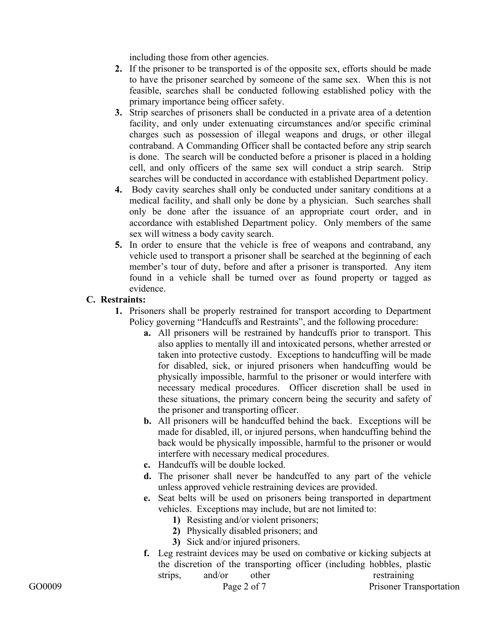including those from other agencies.

- **2.** If the prisoner to be transported is of the opposite sex, efforts should be made to have the prisoner searched by someone of the same sex. When this is not feasible, searches shall be conducted following established policy with the primary importance being officer safety.
- **3.** Strip searches of prisoners shall be conducted in a private area of a detention facility, and only under extenuating circumstances and/or specific criminal charges such as possession of illegal weapons and drugs, or other illegal contraband. A Commanding Officer shall be contacted before any strip search is done. The search will be conducted before a prisoner is placed in a holding cell, and only officers of the same sex will conduct a strip search. Strip searches will be conducted in accordance with established Department policy.
- **4.** Body cavity searches shall only be conducted under sanitary conditions at a medical facility, and shall only be done by a physician. Such searches shall only be done after the issuance of an appropriate court order, and in accordance with established Department policy. Only members of the same sex will witness a body cavity search.
- **5.** In order to ensure that the vehicle is free of weapons and contraband, any vehicle used to transport a prisoner shall be searched at the beginning of each member's tour of duty, before and after a prisoner is transported. Any item found in a vehicle shall be turned over as found property or tagged as evidence.

## **C. Restraints:**

- **1.** Prisoners shall be properly restrained for transport according to Department Policy governing "Handcuffs and Restraints", and the following procedure:
	- **a.** All prisoners will be restrained by handcuffs prior to transport. This also applies to mentally ill and intoxicated persons, whether arrested or taken into protective custody. Exceptions to handcuffing will be made for disabled, sick, or injured prisoners when handcuffing would be physically impossible, harmful to the prisoner or would interfere with necessary medical procedures. Officer discretion shall be used in these situations, the primary concern being the security and safety of the prisoner and transporting officer.
	- **b.** All prisoners will be handcuffed behind the back. Exceptions will be made for disabled, ill, or injured persons, when handcuffing behind the back would be physically impossible, harmful to the prisoner or would interfere with necessary medical procedures.
	- **c.** Handcuffs will be double locked.
	- **d.** The prisoner shall never be handcuffed to any part of the vehicle unless approved vehicle restraining devices are provided.
	- **e.** Seat belts will be used on prisoners being transported in department vehicles. Exceptions may include, but are not limited to:
		- **1)** Resisting and/or violent prisoners;
		- **2)** Physically disabled prisoners; and
		- **3)** Sick and/or injured prisoners.
	- **f.** Leg restraint devices may be used on combative or kicking subjects at the discretion of the transporting officer (including hobbles, plastic strips, and/or other restraining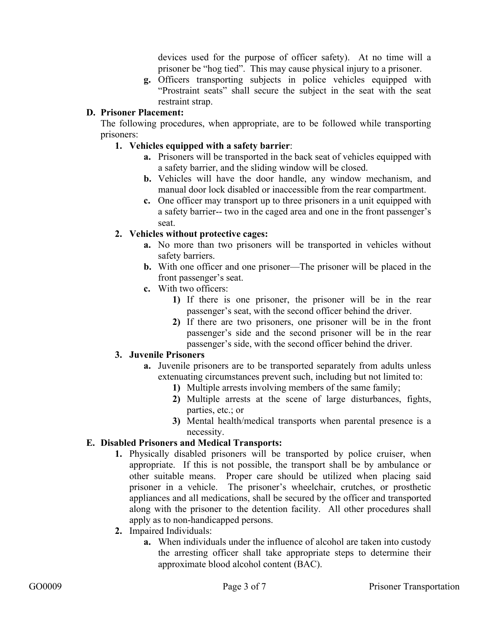devices used for the purpose of officer safety). At no time will a prisoner be "hog tied". This may cause physical injury to a prisoner.

**g.** Officers transporting subjects in police vehicles equipped with "Prostraint seats" shall secure the subject in the seat with the seat restraint strap.

## **D. Prisoner Placement:**

The following procedures, when appropriate, are to be followed while transporting prisoners:

## **1. Vehicles equipped with a safety barrier**:

- **a.** Prisoners will be transported in the back seat of vehicles equipped with a safety barrier, and the sliding window will be closed.
- **b.** Vehicles will have the door handle, any window mechanism, and manual door lock disabled or inaccessible from the rear compartment.
- **c.** One officer may transport up to three prisoners in a unit equipped with a safety barrier-- two in the caged area and one in the front passenger's seat.

# **2. Vehicles without protective cages:**

- **a.** No more than two prisoners will be transported in vehicles without safety barriers.
- **b.** With one officer and one prisoner—The prisoner will be placed in the front passenger's seat.
- **c.** With two officers:
	- **1)** If there is one prisoner, the prisoner will be in the rear passenger's seat, with the second officer behind the driver.
	- **2)** If there are two prisoners, one prisoner will be in the front passenger's side and the second prisoner will be in the rear passenger's side, with the second officer behind the driver.

# **3. Juvenile Prisoners**

- **a.** Juvenile prisoners are to be transported separately from adults unless extenuating circumstances prevent such, including but not limited to:
	- **1)** Multiple arrests involving members of the same family;
	- **2)** Multiple arrests at the scene of large disturbances, fights, parties, etc.; or
	- **3)** Mental health/medical transports when parental presence is a necessity.

# **E. Disabled Prisoners and Medical Transports:**

- **1.** Physically disabled prisoners will be transported by police cruiser, when appropriate. If this is not possible, the transport shall be by ambulance or other suitable means. Proper care should be utilized when placing said prisoner in a vehicle. The prisoner's wheelchair, crutches, or prosthetic appliances and all medications, shall be secured by the officer and transported along with the prisoner to the detention facility. All other procedures shall apply as to non-handicapped persons.
- **2.** Impaired Individuals:
	- **a.** When individuals under the influence of alcohol are taken into custody the arresting officer shall take appropriate steps to determine their approximate blood alcohol content (BAC).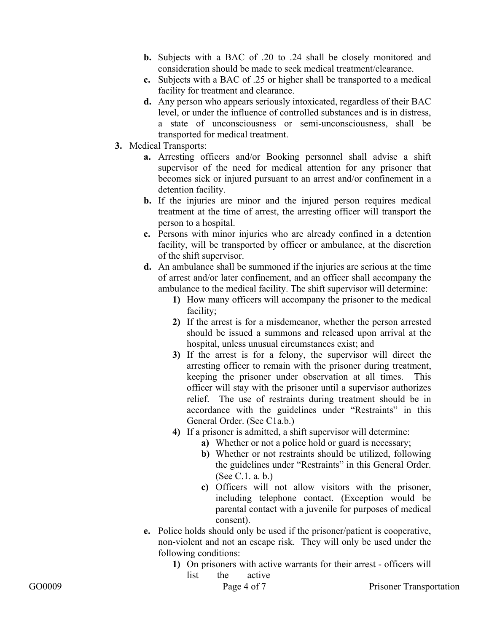- **b.** Subjects with a BAC of .20 to .24 shall be closely monitored and consideration should be made to seek medical treatment/clearance.
- **c.** Subjects with a BAC of .25 or higher shall be transported to a medical facility for treatment and clearance.
- **d.** Any person who appears seriously intoxicated, regardless of their BAC level, or under the influence of controlled substances and is in distress, a state of unconsciousness or semi-unconsciousness, shall be transported for medical treatment.
- **3.** Medical Transports:
	- **a.** Arresting officers and/or Booking personnel shall advise a shift supervisor of the need for medical attention for any prisoner that becomes sick or injured pursuant to an arrest and/or confinement in a detention facility.
	- **b.** If the injuries are minor and the injured person requires medical treatment at the time of arrest, the arresting officer will transport the person to a hospital.
	- **c.** Persons with minor injuries who are already confined in a detention facility, will be transported by officer or ambulance, at the discretion of the shift supervisor.
	- **d.** An ambulance shall be summoned if the injuries are serious at the time of arrest and/or later confinement, and an officer shall accompany the ambulance to the medical facility. The shift supervisor will determine:
		- **1)** How many officers will accompany the prisoner to the medical facility;
		- **2)** If the arrest is for a misdemeanor, whether the person arrested should be issued a summons and released upon arrival at the hospital, unless unusual circumstances exist; and
		- **3)** If the arrest is for a felony, the supervisor will direct the arresting officer to remain with the prisoner during treatment, keeping the prisoner under observation at all times. This officer will stay with the prisoner until a supervisor authorizes relief. The use of restraints during treatment should be in accordance with the guidelines under "Restraints" in this General Order. (See C1a.b.)
		- **4)** If a prisoner is admitted, a shift supervisor will determine:
			- **a)** Whether or not a police hold or guard is necessary;
			- **b)** Whether or not restraints should be utilized, following the guidelines under "Restraints" in this General Order. (See C.1. a. b.)
			- **c)** Officers will not allow visitors with the prisoner, including telephone contact. (Exception would be parental contact with a juvenile for purposes of medical consent).
	- **e.** Police holds should only be used if the prisoner/patient is cooperative, non-violent and not an escape risk. They will only be used under the following conditions:
		- **1)** On prisoners with active warrants for their arrest officers will list the active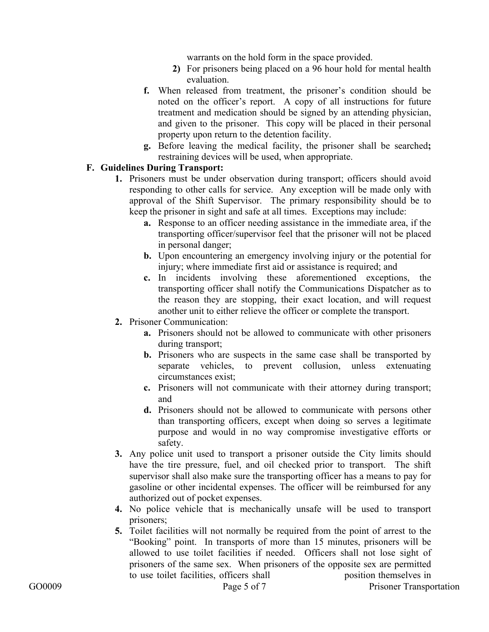warrants on the hold form in the space provided.

- **2)** For prisoners being placed on a 96 hour hold for mental health evaluation.
- **f.** When released from treatment, the prisoner's condition should be noted on the officer's report. A copy of all instructions for future treatment and medication should be signed by an attending physician, and given to the prisoner. This copy will be placed in their personal property upon return to the detention facility.
- **g.** Before leaving the medical facility, the prisoner shall be searched**;**  restraining devices will be used, when appropriate.

#### **F. Guidelines During Transport:**

- **1.** Prisoners must be under observation during transport; officers should avoid responding to other calls for service. Any exception will be made only with approval of the Shift Supervisor. The primary responsibility should be to keep the prisoner in sight and safe at all times. Exceptions may include:
	- **a.** Response to an officer needing assistance in the immediate area, if the transporting officer/supervisor feel that the prisoner will not be placed in personal danger;
	- **b.** Upon encountering an emergency involving injury or the potential for injury; where immediate first aid or assistance is required; and
	- **c.** In incidents involving these aforementioned exceptions, the transporting officer shall notify the Communications Dispatcher as to the reason they are stopping, their exact location, and will request another unit to either relieve the officer or complete the transport.
- **2.** Prisoner Communication:
	- **a.** Prisoners should not be allowed to communicate with other prisoners during transport;
	- **b.** Prisoners who are suspects in the same case shall be transported by separate vehicles, to prevent collusion, unless extenuating circumstances exist;
	- **c.** Prisoners will not communicate with their attorney during transport; and
	- **d.** Prisoners should not be allowed to communicate with persons other than transporting officers, except when doing so serves a legitimate purpose and would in no way compromise investigative efforts or safety.
- **3.** Any police unit used to transport a prisoner outside the City limits should have the tire pressure, fuel, and oil checked prior to transport. The shift supervisor shall also make sure the transporting officer has a means to pay for gasoline or other incidental expenses. The officer will be reimbursed for any authorized out of pocket expenses.
- **4.** No police vehicle that is mechanically unsafe will be used to transport prisoners;
- **5.** Toilet facilities will not normally be required from the point of arrest to the "Booking" point. In transports of more than 15 minutes, prisoners will be allowed to use toilet facilities if needed. Officers shall not lose sight of prisoners of the same sex. When prisoners of the opposite sex are permitted to use toilet facilities, officers shall position themselves in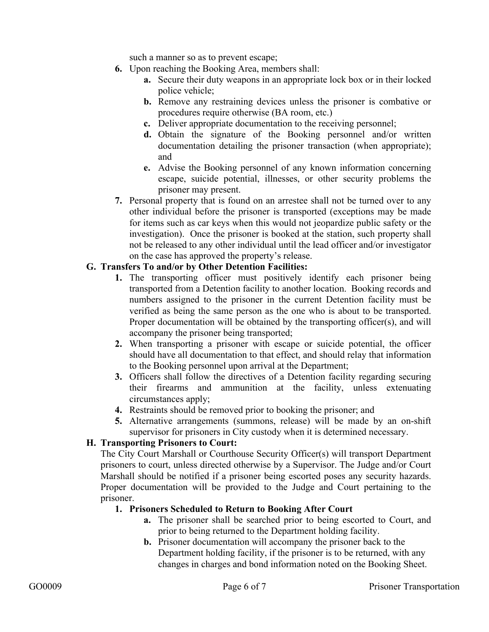such a manner so as to prevent escape;

- **6.** Upon reaching the Booking Area, members shall:
	- **a.** Secure their duty weapons in an appropriate lock box or in their locked police vehicle;
	- **b.** Remove any restraining devices unless the prisoner is combative or procedures require otherwise (BA room, etc.)
	- **c.** Deliver appropriate documentation to the receiving personnel;
	- **d.** Obtain the signature of the Booking personnel and/or written documentation detailing the prisoner transaction (when appropriate); and
	- **e.** Advise the Booking personnel of any known information concerning escape, suicide potential, illnesses, or other security problems the prisoner may present.
- **7.** Personal property that is found on an arrestee shall not be turned over to any other individual before the prisoner is transported (exceptions may be made for items such as car keys when this would not jeopardize public safety or the investigation). Once the prisoner is booked at the station, such property shall not be released to any other individual until the lead officer and/or investigator on the case has approved the property's release.

#### **G. Transfers To and/or by Other Detention Facilities:**

- **1.** The transporting officer must positively identify each prisoner being transported from a Detention facility to another location. Booking records and numbers assigned to the prisoner in the current Detention facility must be verified as being the same person as the one who is about to be transported. Proper documentation will be obtained by the transporting officer(s), and will accompany the prisoner being transported;
- **2.** When transporting a prisoner with escape or suicide potential, the officer should have all documentation to that effect, and should relay that information to the Booking personnel upon arrival at the Department;
- **3.** Officers shall follow the directives of a Detention facility regarding securing their firearms and ammunition at the facility, unless extenuating circumstances apply;
- **4.** Restraints should be removed prior to booking the prisoner; and
- **5.** Alternative arrangements (summons, release) will be made by an on-shift supervisor for prisoners in City custody when it is determined necessary.

## **H. Transporting Prisoners to Court:**

The City Court Marshall or Courthouse Security Officer(s) will transport Department prisoners to court, unless directed otherwise by a Supervisor. The Judge and/or Court Marshall should be notified if a prisoner being escorted poses any security hazards. Proper documentation will be provided to the Judge and Court pertaining to the prisoner.

#### **1. Prisoners Scheduled to Return to Booking After Court**

- **a.** The prisoner shall be searched prior to being escorted to Court, and prior to being returned to the Department holding facility.
- **b.** Prisoner documentation will accompany the prisoner back to the Department holding facility, if the prisoner is to be returned, with any changes in charges and bond information noted on the Booking Sheet.